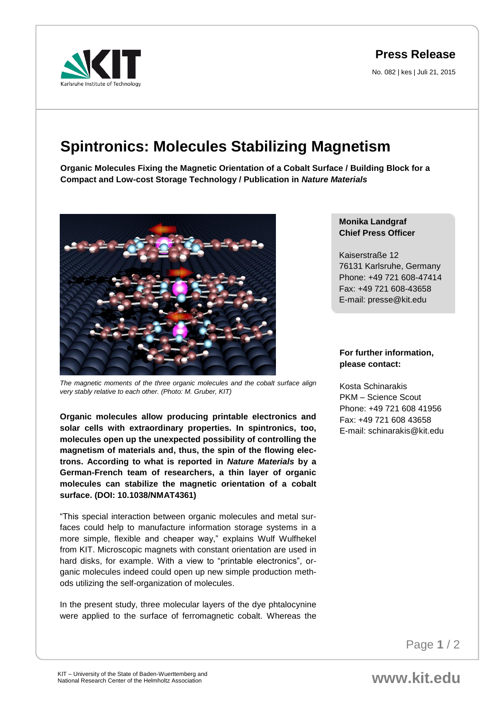

## **Press Release**

No. 082 | kes | Juli 21, 2015

## **Spintronics: Molecules Stabilizing Magnetism**

**Organic Molecules Fixing the Magnetic Orientation of a Cobalt Surface / Building Block for a Compact and Low-cost Storage Technology / Publication in** *Nature Materials*



*The magnetic moments of the three organic molecules and the cobalt surface align very stably relative to each other. (Photo: M. Gruber, KIT)*

**Organic molecules allow producing printable electronics and solar cells with extraordinary properties. In spintronics, too, molecules open up the unexpected possibility of controlling the magnetism of materials and, thus, the spin of the flowing electrons. According to what is reported in** *Nature Materials* **by a German-French team of researchers, a thin layer of organic molecules can stabilize the magnetic orientation of a cobalt surface. (DOI: 10.1038/NMAT4361)** 

"This special interaction between organic molecules and metal surfaces could help to manufacture information storage systems in a more simple, flexible and cheaper way," explains Wulf Wulfhekel from KIT. Microscopic magnets with constant orientation are used in hard disks, for example. With a view to "printable electronics", organic molecules indeed could open up new simple production methods utilizing the self-organization of molecules.

In the present study, three molecular layers of the dye phtalocynine were applied to the surface of ferromagnetic cobalt. Whereas the

## **Monika Landgraf Chief Press Officer**

Kaiserstraße 12 76131 Karlsruhe, Germany Phone: +49 721 608-47414 Fax: +49 721 608-43658 E-mail: presse@kit.edu

## **For further information, please contact:**

Kosta Schinarakis PKM – Science Scout Phone: +49 721 608 41956 Fax: +49 721 608 43658 E-mail: schinarakis@kit.edu